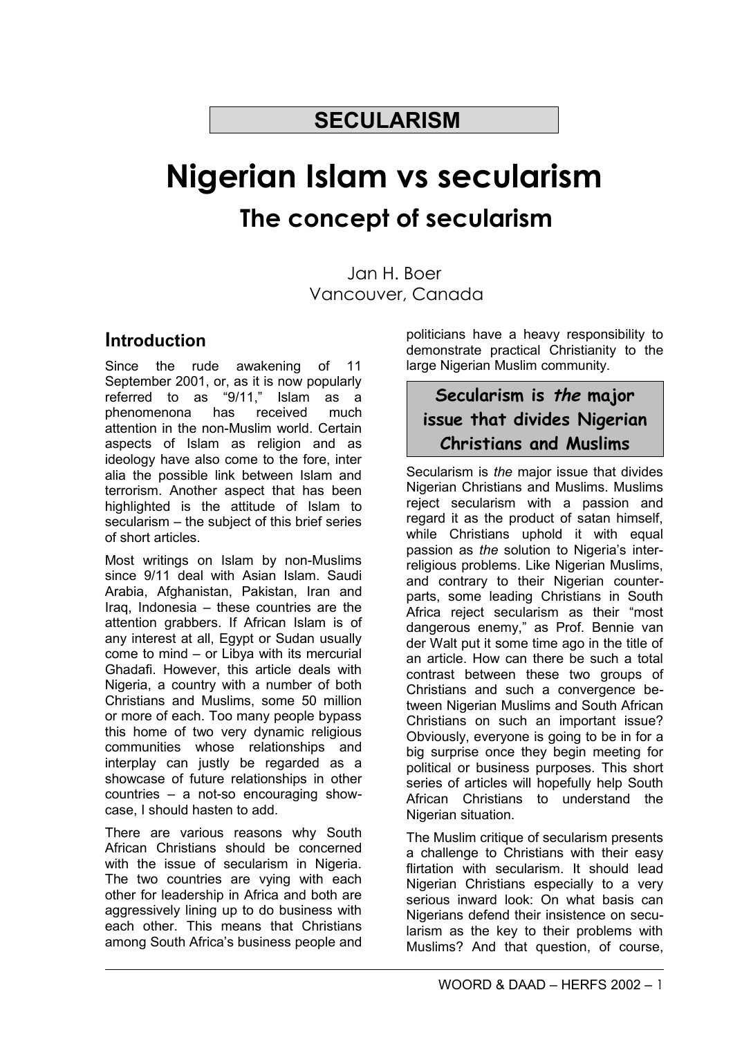## **SECULARISM**

# **Nigerian Islam vs secularism The concept of secularism**

Jan H. Boer Vancouver, Canada

## **Introduction**

Since the rude awakening of 11 September 2001, or, as it is now popularly referred to as "9/11," Islam as a phenomenona has received much attention in the non-Muslim world. Certain aspects of Islam as religion and as ideology have also come to the fore, inter alia the possible link between Islam and terrorism. Another aspect that has been highlighted is the attitude of Islam to secularism – the subject of this brief series of short articles.

Most writings on Islam by non-Muslims since 9/11 deal with Asian Islam. Saudi Arabia, Afghanistan, Pakistan, Iran and Iraq, Indonesia – these countries are the attention grabbers. If African Islam is of any interest at all, Egypt or Sudan usually come to mind – or Libya with its mercurial Ghadafi. However, this article deals with Nigeria, a country with a number of both Christians and Muslims, some 50 million or more of each. Too many people bypass this home of two very dynamic religious communities whose relationships and interplay can justly be regarded as a showcase of future relationships in other countries – a not-so encouraging showcase, I should hasten to add.

There are various reasons why South African Christians should be concerned with the issue of secularism in Nigeria. The two countries are vying with each other for leadership in Africa and both are aggressively lining up to do business with each other. This means that Christians among South Africa's business people and

politicians have a heavy responsibility to demonstrate practical Christianity to the large Nigerian Muslim community.

## **Secularism is the major issue that divides Nigerian Christians and Muslims**

Secularism is *the* major issue that divides Nigerian Christians and Muslims. Muslims reject secularism with a passion and regard it as the product of satan himself, while Christians uphold it with equal passion as *the* solution to Nigeria's interreligious problems. Like Nigerian Muslims, and contrary to their Nigerian counterparts, some leading Christians in South Africa reject secularism as their "most dangerous enemy," as Prof. Bennie van der Walt put it some time ago in the title of an article. How can there be such a total contrast between these two groups of Christians and such a convergence between Nigerian Muslims and South African Christians on such an important issue? Obviously, everyone is going to be in for a big surprise once they begin meeting for political or business purposes. This short series of articles will hopefully help South African Christians to understand the Nigerian situation.

The Muslim critique of secularism presents a challenge to Christians with their easy flirtation with secularism. It should lead Nigerian Christians especially to a very serious inward look: On what basis can Nigerians defend their insistence on secularism as the key to their problems with Muslims? And that question, of course,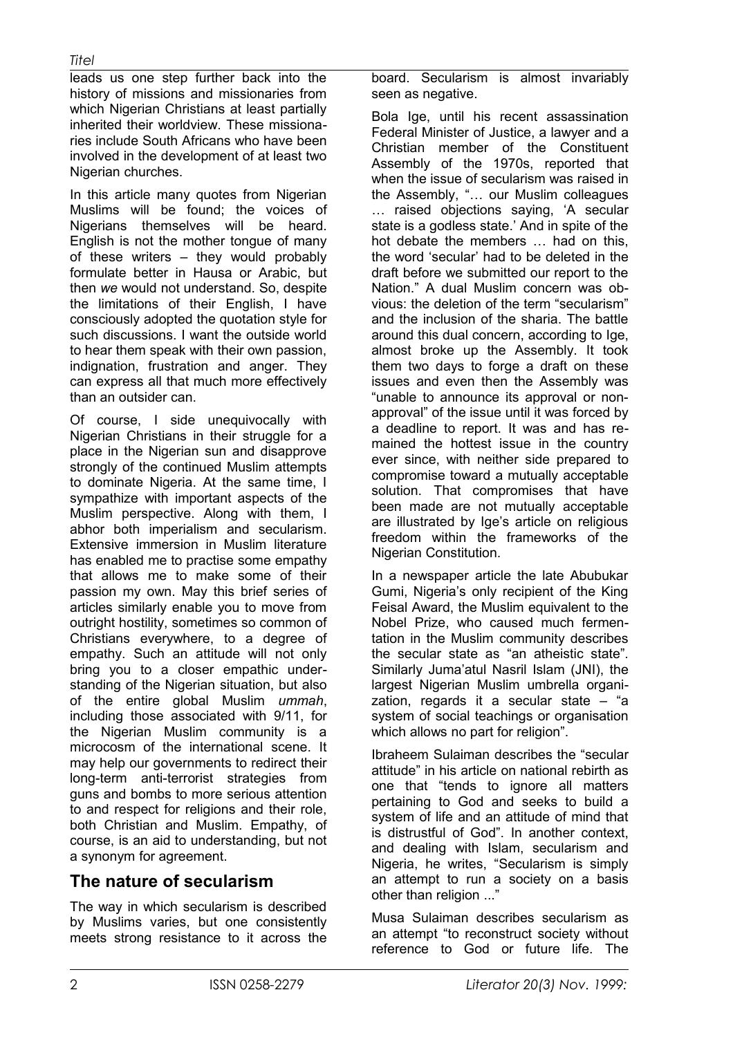#### *Titel*

leads us one step further back into the history of missions and missionaries from which Nigerian Christians at least partially inherited their worldview. These missionaries include South Africans who have been involved in the development of at least two Nigerian churches.

In this article many quotes from Nigerian Muslims will be found; the voices of Nigerians themselves will be heard. English is not the mother tongue of many of these writers – they would probably formulate better in Hausa or Arabic, but then *we* would not understand. So, despite the limitations of their English, I have consciously adopted the quotation style for such discussions. I want the outside world to hear them speak with their own passion, indignation, frustration and anger. They can express all that much more effectively than an outsider can.

Of course, I side unequivocally with Nigerian Christians in their struggle for a place in the Nigerian sun and disapprove strongly of the continued Muslim attempts to dominate Nigeria. At the same time, I sympathize with important aspects of the Muslim perspective. Along with them, I abhor both imperialism and secularism. Extensive immersion in Muslim literature has enabled me to practise some empathy that allows me to make some of their passion my own. May this brief series of articles similarly enable you to move from outright hostility, sometimes so common of Christians everywhere, to a degree of empathy. Such an attitude will not only bring you to a closer empathic understanding of the Nigerian situation, but also of the entire global Muslim *ummah*, including those associated with 9/11, for the Nigerian Muslim community is a microcosm of the international scene. It may help our governments to redirect their long-term anti-terrorist strategies from guns and bombs to more serious attention to and respect for religions and their role, both Christian and Muslim. Empathy, of course, is an aid to understanding, but not a synonym for agreement.

### **The nature of secularism**

The way in which secularism is described by Muslims varies, but one consistently meets strong resistance to it across the board. Secularism is almost invariably seen as negative.

Bola Ige, until his recent assassination Federal Minister of Justice, a lawyer and a Christian member of the Constituent Assembly of the 1970s, reported that when the issue of secularism was raised in the Assembly, "… our Muslim colleagues … raised objections saying, 'A secular state is a godless state.' And in spite of the hot debate the members … had on this, the word 'secular' had to be deleted in the draft before we submitted our report to the Nation." A dual Muslim concern was obvious: the deletion of the term "secularism" and the inclusion of the sharia. The battle around this dual concern, according to Ige, almost broke up the Assembly. It took them two days to forge a draft on these issues and even then the Assembly was "unable to announce its approval or nonapproval" of the issue until it was forced by a deadline to report. It was and has remained the hottest issue in the country ever since, with neither side prepared to compromise toward a mutually acceptable solution. That compromises that have been made are not mutually acceptable are illustrated by Ige's article on religious freedom within the frameworks of the Nigerian Constitution.

In a newspaper article the late Abubukar Gumi, Nigeria's only recipient of the King Feisal Award, the Muslim equivalent to the Nobel Prize, who caused much fermentation in the Muslim community describes the secular state as "an atheistic state". Similarly Juma'atul Nasril Islam (JNI), the largest Nigerian Muslim umbrella organization, regards it a secular state – "a system of social teachings or organisation which allows no part for religion".

Ibraheem Sulaiman describes the "secular attitude" in his article on national rebirth as one that "tends to ignore all matters pertaining to God and seeks to build a system of life and an attitude of mind that is distrustful of God". In another context, and dealing with Islam, secularism and Nigeria, he writes, "Secularism is simply an attempt to run a society on a basis other than religion ..."

Musa Sulaiman describes secularism as an attempt "to reconstruct society without reference to God or future life. The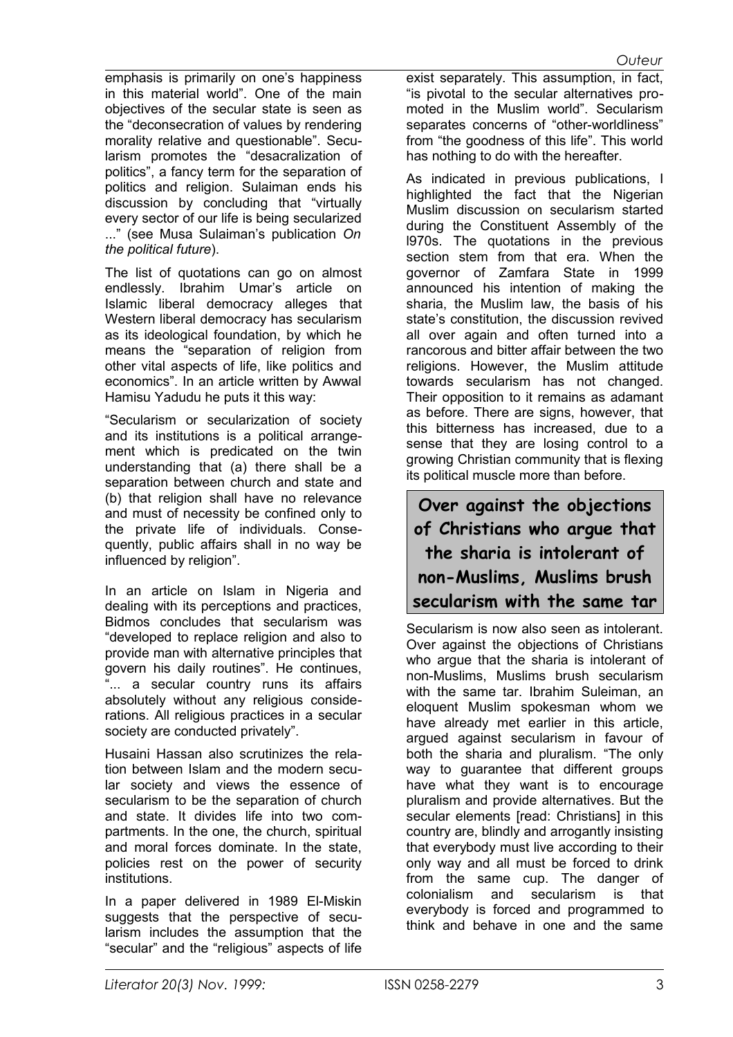emphasis is primarily on one's happiness in this material world". One of the main objectives of the secular state is seen as the "deconsecration of values by rendering morality relative and questionable". Secularism promotes the "desacralization of politics", a fancy term for the separation of politics and religion. Sulaiman ends his discussion by concluding that "virtually every sector of our life is being secularized ..." (see Musa Sulaiman's publication *On the political future*).

The list of quotations can go on almost endlessly. Ibrahim Umar's article on Islamic liberal democracy alleges that Western liberal democracy has secularism as its ideological foundation, by which he means the "separation of religion from other vital aspects of life, like politics and economics". In an article written by Awwal Hamisu Yadudu he puts it this way:

"Secularism or secularization of society and its institutions is a political arrangement which is predicated on the twin understanding that (a) there shall be a separation between church and state and (b) that religion shall have no relevance and must of necessity be confined only to the private life of individuals. Consequently, public affairs shall in no way be influenced by religion".

In an article on Islam in Nigeria and dealing with its perceptions and practices, Bidmos concludes that secularism was "developed to replace religion and also to provide man with alternative principles that govern his daily routines". He continues, "... a secular country runs its affairs absolutely without any religious considerations. All religious practices in a secular society are conducted privately".

Husaini Hassan also scrutinizes the relation between Islam and the modern secular society and views the essence of secularism to be the separation of church and state. It divides life into two compartments. In the one, the church, spiritual and moral forces dominate. In the state, policies rest on the power of security institutions.

In a paper delivered in 1989 El-Miskin suggests that the perspective of secularism includes the assumption that the "secular" and the "religious" aspects of life exist separately. This assumption, in fact, "is pivotal to the secular alternatives promoted in the Muslim world". Secularism separates concerns of "other-worldliness" from "the goodness of this life". This world has nothing to do with the hereafter.

As indicated in previous publications, I highlighted the fact that the Nigerian Muslim discussion on secularism started during the Constituent Assembly of the l970s. The quotations in the previous section stem from that era. When the governor of Zamfara State in 1999 announced his intention of making the sharia, the Muslim law, the basis of his state's constitution, the discussion revived all over again and often turned into a rancorous and bitter affair between the two religions. However, the Muslim attitude towards secularism has not changed. Their opposition to it remains as adamant as before. There are signs, however, that this bitterness has increased, due to a sense that they are losing control to a growing Christian community that is flexing its political muscle more than before.

**Over against the objections of Christians who argue that the sharia is intolerant of non-Muslims, Muslims brush secularism with the same tar**

Secularism is now also seen as intolerant. Over against the objections of Christians who argue that the sharia is intolerant of non-Muslims, Muslims brush secularism with the same tar. Ibrahim Suleiman, an eloquent Muslim spokesman whom we have already met earlier in this article, argued against secularism in favour of both the sharia and pluralism. "The only way to guarantee that different groups have what they want is to encourage pluralism and provide alternatives. But the secular elements [read: Christians] in this country are, blindly and arrogantly insisting that everybody must live according to their only way and all must be forced to drink from the same cup. The danger of colonialism and secularism is that everybody is forced and programmed to think and behave in one and the same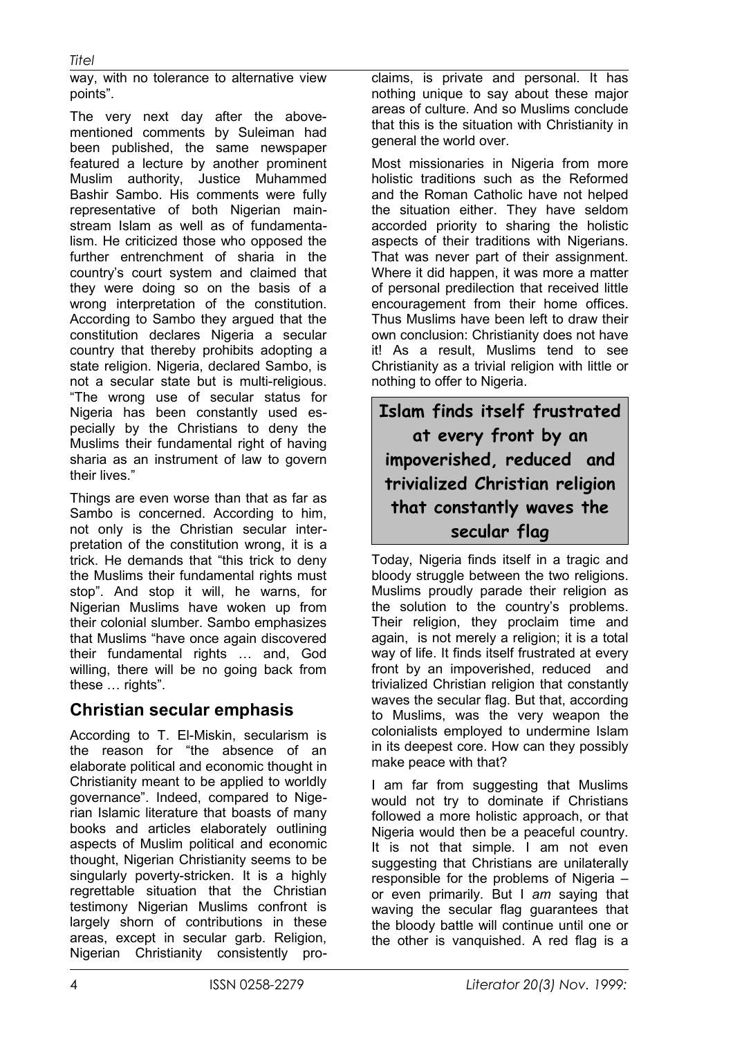way, with no tolerance to alternative view points".

The very next day after the abovementioned comments by Suleiman had been published, the same newspaper featured a lecture by another prominent Muslim authority, Justice Muhammed Bashir Sambo. His comments were fully representative of both Nigerian mainstream Islam as well as of fundamentalism. He criticized those who opposed the further entrenchment of sharia in the country's court system and claimed that they were doing so on the basis of a wrong interpretation of the constitution. According to Sambo they argued that the constitution declares Nigeria a secular country that thereby prohibits adopting a state religion. Nigeria, declared Sambo, is not a secular state but is multi-religious. "The wrong use of secular status for Nigeria has been constantly used especially by the Christians to deny the Muslims their fundamental right of having sharia as an instrument of law to govern their lives."

Things are even worse than that as far as Sambo is concerned. According to him, not only is the Christian secular interpretation of the constitution wrong, it is a trick. He demands that "this trick to deny the Muslims their fundamental rights must stop". And stop it will, he warns, for Nigerian Muslims have woken up from their colonial slumber. Sambo emphasizes that Muslims "have once again discovered their fundamental rights … and, God willing, there will be no going back from these … rights".

#### **Christian secular emphasis**

According to T. El-Miskin, secularism is the reason for "the absence of an elaborate political and economic thought in Christianity meant to be applied to worldly governance". Indeed, compared to Nigerian Islamic literature that boasts of many books and articles elaborately outlining aspects of Muslim political and economic thought, Nigerian Christianity seems to be singularly poverty-stricken. It is a highly regrettable situation that the Christian testimony Nigerian Muslims confront is largely shorn of contributions in these areas, except in secular garb. Religion, Nigerian Christianity consistently proclaims, is private and personal. It has nothing unique to say about these major areas of culture. And so Muslims conclude that this is the situation with Christianity in general the world over.

Most missionaries in Nigeria from more holistic traditions such as the Reformed and the Roman Catholic have not helped the situation either. They have seldom accorded priority to sharing the holistic aspects of their traditions with Nigerians. That was never part of their assignment. Where it did happen, it was more a matter of personal predilection that received little encouragement from their home offices. Thus Muslims have been left to draw their own conclusion: Christianity does not have it! As a result, Muslims tend to see Christianity as a trivial religion with little or nothing to offer to Nigeria.

**Islam finds itself frustrated at every front by an impoverished, reduced and trivialized Christian religion that constantly waves the secular flag**

Today, Nigeria finds itself in a tragic and bloody struggle between the two religions. Muslims proudly parade their religion as the solution to the country's problems. Their religion, they proclaim time and again, is not merely a religion; it is a total way of life. It finds itself frustrated at every front by an impoverished, reduced and trivialized Christian religion that constantly waves the secular flag. But that, according to Muslims, was the very weapon the colonialists employed to undermine Islam in its deepest core. How can they possibly make peace with that?

I am far from suggesting that Muslims would not try to dominate if Christians followed a more holistic approach, or that Nigeria would then be a peaceful country. It is not that simple. I am not even suggesting that Christians are unilaterally responsible for the problems of Nigeria – or even primarily. But I *am* saying that waving the secular flag guarantees that the bloody battle will continue until one or the other is vanquished. A red flag is a

*Titel*